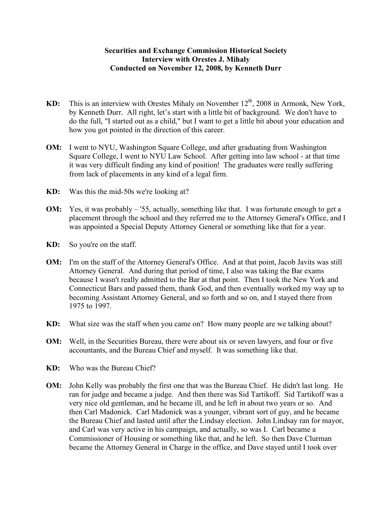## **Securities and Exchange Commission Historical Society Interview with Orestes J. Mihaly Conducted on November 12, 2008, by Kenneth Durr**

- **KD:** This is an interview with Orestes Mihaly on November 12<sup>th</sup>, 2008 in Armonk, New York, by Kenneth Durr. All right, let's start with a little bit of background. We don't have to do the full, "I started out as a child," but I want to get a little bit about your education and how you got pointed in the direction of this career.
- **OM:** I went to NYU, Washington Square College, and after graduating from Washington Square College, I went to NYU Law School. After getting into law school - at that time it was very difficult finding any kind of position! The graduates were really suffering from lack of placements in any kind of a legal firm.
- **KD:** Was this the mid-50s we're looking at?
- **OM:** Yes, it was probably '55, actually, something like that. I was fortunate enough to get a placement through the school and they referred me to the Attorney General's Office, and I was appointed a Special Deputy Attorney General or something like that for a year.
- **KD:** So you're on the staff.
- **OM:** I'm on the staff of the Attorney General's Office. And at that point, Jacob Javits was still Attorney General. And during that period of time, I also was taking the Bar exams because I wasn't really admitted to the Bar at that point. Then I took the New York and Connecticut Bars and passed them, thank God, and then eventually worked my way up to becoming Assistant Attorney General, and so forth and so on, and I stayed there from 1975 to 1997.
- **KD:** What size was the staff when you came on? How many people are we talking about?
- **OM:** Well, in the Securities Bureau, there were about six or seven lawyers, and four or five accountants, and the Bureau Chief and myself. It was something like that.
- **KD:** Who was the Bureau Chief?
- **OM:** John Kelly was probably the first one that was the Bureau Chief. He didn't last long. He ran for judge and became a judge. And then there was Sid Tartikoff. Sid Tartikoff was a very nice old gentleman, and he became ill, and he left in about two years or so. And then Carl Madonick. Carl Madonick was a younger, vibrant sort of guy, and he became the Bureau Chief and lasted until after the Lindsay election. John Lindsay ran for mayor, and Carl was very active in his campaign, and actually, so was I. Carl became a Commissioner of Housing or something like that, and he left. So then Dave Clurman became the Attorney General in Charge in the office, and Dave stayed until I took over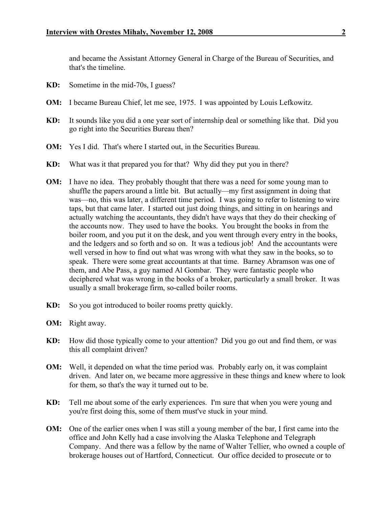and became the Assistant Attorney General in Charge of the Bureau of Securities, and that's the timeline.

- **KD:** Sometime in the mid-70s, I guess?
- **OM:** I became Bureau Chief, let me see, 1975. I was appointed by Louis Lefkowitz.
- **KD:** It sounds like you did a one year sort of internship deal or something like that. Did you go right into the Securities Bureau then?
- **OM:** Yes I did. That's where I started out, in the Securities Bureau.
- **KD:** What was it that prepared you for that? Why did they put you in there?
- **OM:** I have no idea. They probably thought that there was a need for some young man to shuffle the papers around a little bit. But actually—my first assignment in doing that was—no, this was later, a different time period. I was going to refer to listening to wire taps, but that came later. I started out just doing things, and sitting in on hearings and actually watching the accountants, they didn't have ways that they do their checking of the accounts now. They used to have the books. You brought the books in from the boiler room, and you put it on the desk, and you went through every entry in the books, and the ledgers and so forth and so on. It was a tedious job! And the accountants were well versed in how to find out what was wrong with what they saw in the books, so to speak. There were some great accountants at that time. Barney Abramson was one of them, and Abe Pass, a guy named Al Gombar. They were fantastic people who deciphered what was wrong in the books of a broker, particularly a small broker. It was usually a small brokerage firm, so-called boiler rooms.
- **KD:** So you got introduced to boiler rooms pretty quickly.
- **OM:** Right away.
- **KD:** How did those typically come to your attention? Did you go out and find them, or was this all complaint driven?
- **OM:** Well, it depended on what the time period was. Probably early on, it was complaint driven. And later on, we became more aggressive in these things and knew where to look for them, so that's the way it turned out to be.
- **KD:** Tell me about some of the early experiences. I'm sure that when you were young and you're first doing this, some of them must've stuck in your mind.
- **OM:** One of the earlier ones when I was still a young member of the bar, I first came into the office and John Kelly had a case involving the Alaska Telephone and Telegraph Company. And there was a fellow by the name of Walter Tellier, who owned a couple of brokerage houses out of Hartford, Connecticut. Our office decided to prosecute or to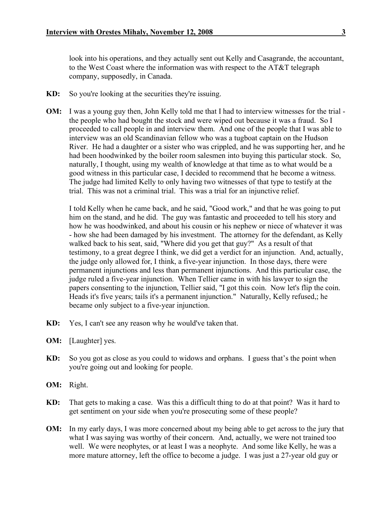look into his operations, and they actually sent out Kelly and Casagrande, the accountant, to the West Coast where the information was with respect to the AT&T telegraph company, supposedly, in Canada.

- **KD:** So you're looking at the securities they're issuing.
- **OM:** I was a young guy then, John Kelly told me that I had to interview witnesses for the trial the people who had bought the stock and were wiped out because it was a fraud. So I proceeded to call people in and interview them. And one of the people that I was able to interview was an old Scandinavian fellow who was a tugboat captain on the Hudson River. He had a daughter or a sister who was crippled, and he was supporting her, and he had been hoodwinked by the boiler room salesmen into buying this particular stock. So, naturally, I thought, using my wealth of knowledge at that time as to what would be a good witness in this particular case, I decided to recommend that he become a witness. The judge had limited Kelly to only having two witnesses of that type to testify at the trial. This was not a criminal trial. This was a trial for an injunctive relief.

I told Kelly when he came back, and he said, "Good work," and that he was going to put him on the stand, and he did. The guy was fantastic and proceeded to tell his story and how he was hoodwinked, and about his cousin or his nephew or niece of whatever it was - how she had been damaged by his investment. The attorney for the defendant, as Kelly walked back to his seat, said, "Where did you get that guy?" As a result of that testimony, to a great degree I think, we did get a verdict for an injunction. And, actually, the judge only allowed for, I think, a five-year injunction. In those days, there were permanent injunctions and less than permanent injunctions. And this particular case, the judge ruled a five-year injunction. When Tellier came in with his lawyer to sign the papers consenting to the injunction, Tellier said, "I got this coin. Now let's flip the coin. Heads it's five years; tails it's a permanent injunction." Naturally, Kelly refused,; he became only subject to a five-year injunction.

- **KD:** Yes, I can't see any reason why he would've taken that.
- **OM:** [Laughter] yes.
- **KD:** So you got as close as you could to widows and orphans. I guess that's the point when you're going out and looking for people.
- **OM:** Right.
- **KD:** That gets to making a case. Was this a difficult thing to do at that point? Was it hard to get sentiment on your side when you're prosecuting some of these people?
- **OM:** In my early days, I was more concerned about my being able to get across to the jury that what I was saying was worthy of their concern. And, actually, we were not trained too well. We were neophytes, or at least I was a neophyte. And some like Kelly, he was a more mature attorney, left the office to become a judge. I was just a 27-year old guy or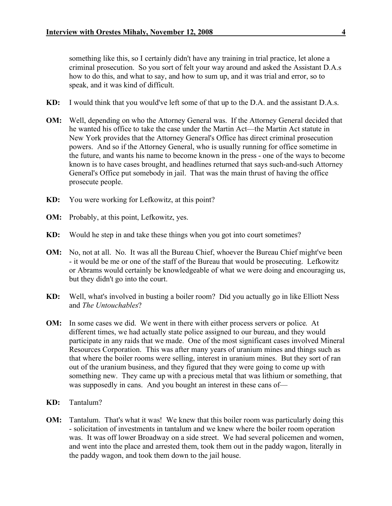something like this, so I certainly didn't have any training in trial practice, let alone a criminal prosecution. So you sort of felt your way around and asked the Assistant D.A.s how to do this, and what to say, and how to sum up, and it was trial and error, so to speak, and it was kind of difficult.

- **KD:** I would think that you would've left some of that up to the D.A. and the assistant D.A.s.
- **OM:** Well, depending on who the Attorney General was. If the Attorney General decided that he wanted his office to take the case under the Martin Act—the Martin Act statute in New York provides that the Attorney General's Office has direct criminal prosecution powers. And so if the Attorney General, who is usually running for office sometime in the future, and wants his name to become known in the press - one of the ways to become known is to have cases brought, and headlines returned that says such-and-such Attorney General's Office put somebody in jail. That was the main thrust of having the office prosecute people.
- **KD:** You were working for Lefkowitz, at this point?
- **OM:** Probably, at this point, Lefkowitz, yes.
- **KD:** Would he step in and take these things when you got into court sometimes?
- **OM:** No, not at all. No. It was all the Bureau Chief, whoever the Bureau Chief might've been - it would be me or one of the staff of the Bureau that would be prosecuting. Lefkowitz or Abrams would certainly be knowledgeable of what we were doing and encouraging us, but they didn't go into the court.
- **KD:** Well, what's involved in busting a boiler room? Did you actually go in like Elliott Ness and *The Untouchables*?
- **OM:** In some cases we did. We went in there with either process servers or police. At different times, we had actually state police assigned to our bureau, and they would participate in any raids that we made. One of the most significant cases involved Mineral Resources Corporation. This was after many years of uranium mines and things such as that where the boiler rooms were selling, interest in uranium mines. But they sort of ran out of the uranium business, and they figured that they were going to come up with something new. They came up with a precious metal that was lithium or something, that was supposedly in cans. And you bought an interest in these cans of—
- **KD:** Tantalum?
- **OM:** Tantalum. That's what it was! We knew that this boiler room was particularly doing this - solicitation of investments in tantalum and we knew where the boiler room operation was. It was off lower Broadway on a side street. We had several policemen and women, and went into the place and arrested them, took them out in the paddy wagon, literally in the paddy wagon, and took them down to the jail house.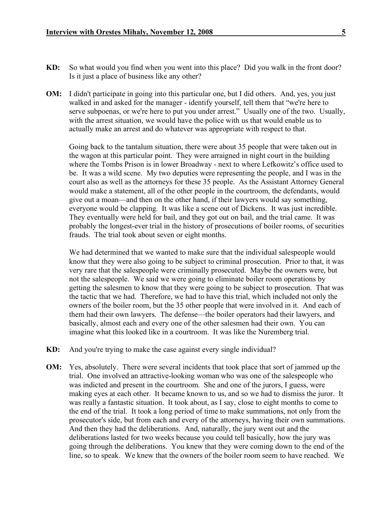- **KD:** So what would you find when you went into this place? Did you walk in the front door? Is it just a place of business like any other?
- **OM:** I didn't participate in going into this particular one, but I did others. And, yes, you just walked in and asked for the manager - identify yourself, tell them that "we're here to serve subpoenas, or we're here to put you under arrest." Usually one of the two. Usually, with the arrest situation, we would have the police with us that would enable us to actually make an arrest and do whatever was appropriate with respect to that.

Going back to the tantalum situation, there were about 35 people that were taken out in the wagon at this particular point. They were arraigned in night court in the building where the Tombs Prison is in lower Broadway - next to where Lefkowitz's office used to be. It was a wild scene. My two deputies were representing the people, and I was in the court also as well as the attorneys for these 35 people. As the Assistant Attorney General would make a statement, all of the other people in the courtroom, the defendants, would give out a moan—and then on the other hand, if their lawyers would say something, everyone would be clapping. It was like a scene out of Dickens. It was just incredible. They eventually were held for bail, and they got out on bail, and the trial came. It was probably the longest-ever trial in the history of prosecutions of boiler rooms, of securities frauds. The trial took about seven or eight months.

We had determined that we wanted to make sure that the individual salespeople would know that they were also going to be subject to criminal prosecution. Prior to that, it was very rare that the salespeople were criminally prosecuted. Maybe the owners were, but not the salespeople. We said we were going to eliminate boiler room operations by getting the salesmen to know that they were going to be subject to prosecution. That was the tactic that we had. Therefore, we had to have this trial, which included not only the owners of the boiler room, but the 35 other people that were involved in it. And each of them had their own lawyers. The defense—the boiler operators had their lawyers, and basically, almost each and every one of the other salesmen had their own. You can imagine what this looked like in a courtroom. It was like the Nuremberg trial.

- **KD:** And you're trying to make the case against every single individual?
- **OM:** Yes, absolutely. There were several incidents that took place that sort of jammed up the trial. One involved an attractive-looking woman who was one of the salespeople who was indicted and present in the courtroom. She and one of the jurors, I guess, were making eyes at each other. It became known to us, and so we had to dismiss the juror. It was really a fantastic situation. It took about, as I say, close to eight months to come to the end of the trial. It took a long period of time to make summations, not only from the prosecutor's side, but from each and every of the attorneys, having their own summations. And then they had the deliberations. And, naturally, the jury went out and the deliberations lasted for two weeks because you could tell basically, how the jury was going through the deliberations. You knew that they were coming down to the end of the line, so to speak. We knew that the owners of the boiler room seem to have reached. We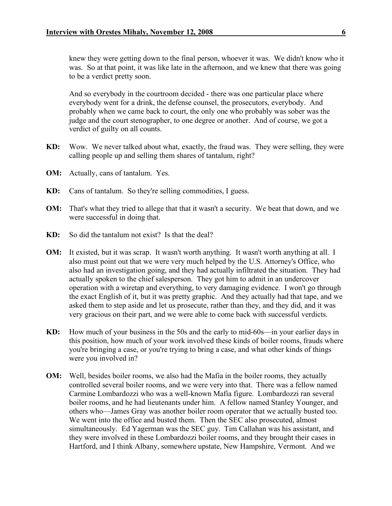knew they were getting down to the final person, whoever it was. We didn't know who it was. So at that point, it was like late in the afternoon, and we knew that there was going to be a verdict pretty soon.

And so everybody in the courtroom decided - there was one particular place where everybody went for a drink, the defense counsel, the prosecutors, everybody. And probably when we came back to court, the only one who probably was sober was the judge and the court stenographer, to one degree or another. And of course, we got a verdict of guilty on all counts.

- **KD:** Wow. We never talked about what, exactly, the fraud was. They were selling, they were calling people up and selling them shares of tantalum, right?
- **OM:** Actually, cans of tantalum. Yes.
- **KD:** Cans of tantalum. So they're selling commodities, I guess.
- **OM:** That's what they tried to allege that that it wasn't a security. We beat that down, and we were successful in doing that.
- **KD:** So did the tantalum not exist? Is that the deal?
- **OM:** It existed, but it was scrap. It wasn't worth anything. It wasn't worth anything at all. I also must point out that we were very much helped by the U.S. Attorney's Office, who also had an investigation going, and they had actually infiltrated the situation. They had actually spoken to the chief salesperson. They got him to admit in an undercover operation with a wiretap and everything, to very damaging evidence. I won't go through the exact English of it, but it was pretty graphic. And they actually had that tape, and we asked them to step aside and let us prosecute, rather than they, and they did, and it was very gracious on their part, and we were able to come back with successful verdicts.
- **KD:** How much of your business in the 50s and the early to mid-60s—in your earlier days in this position, how much of your work involved these kinds of boiler rooms, frauds where you're bringing a case, or you're trying to bring a case, and what other kinds of things were you involved in?
- **OM:** Well, besides boiler rooms, we also had the Mafia in the boiler rooms, they actually controlled several boiler rooms, and we were very into that. There was a fellow named Carmine Lombardozzi who was a well-known Mafia figure. Lombardozzi ran several boiler rooms, and he had lieutenants under him. A fellow named Stanley Younger, and others who—James Gray was another boiler room operator that we actually busted too. We went into the office and busted them. Then the SEC also prosecuted, almost simultaneously. Ed Yagerman was the SEC guy. Tim Callahan was his assistant, and they were involved in these Lombardozzi boiler rooms, and they brought their cases in Hartford, and I think Albany, somewhere upstate, New Hampshire, Vermont. And we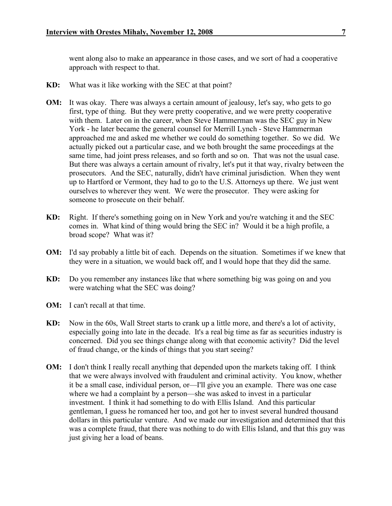went along also to make an appearance in those cases, and we sort of had a cooperative approach with respect to that.

- **KD:** What was it like working with the SEC at that point?
- **OM:** It was okay. There was always a certain amount of jealousy, let's say, who gets to go first, type of thing. But they were pretty cooperative, and we were pretty cooperative with them. Later on in the career, when Steve Hammerman was the SEC guy in New York - he later became the general counsel for Merrill Lynch - Steve Hammerman approached me and asked me whether we could do something together. So we did. We actually picked out a particular case, and we both brought the same proceedings at the same time, had joint press releases, and so forth and so on. That was not the usual case. But there was always a certain amount of rivalry, let's put it that way, rivalry between the prosecutors. And the SEC, naturally, didn't have criminal jurisdiction. When they went up to Hartford or Vermont, they had to go to the U.S. Attorneys up there. We just went ourselves to wherever they went. We were the prosecutor. They were asking for someone to prosecute on their behalf.
- **KD:** Right. If there's something going on in New York and you're watching it and the SEC comes in. What kind of thing would bring the SEC in? Would it be a high profile, a broad scope? What was it?
- **OM:** I'd say probably a little bit of each. Depends on the situation. Sometimes if we knew that they were in a situation, we would back off, and I would hope that they did the same.
- **KD:** Do you remember any instances like that where something big was going on and you were watching what the SEC was doing?
- **OM:** I can't recall at that time.
- **KD:** Now in the 60s, Wall Street starts to crank up a little more, and there's a lot of activity, especially going into late in the decade. It's a real big time as far as securities industry is concerned. Did you see things change along with that economic activity? Did the level of fraud change, or the kinds of things that you start seeing?
- **OM:** I don't think I really recall anything that depended upon the markets taking off. I think that we were always involved with fraudulent and criminal activity. You know, whether it be a small case, individual person, or—I'll give you an example. There was one case where we had a complaint by a person—she was asked to invest in a particular investment. I think it had something to do with Ellis Island. And this particular gentleman, I guess he romanced her too, and got her to invest several hundred thousand dollars in this particular venture. And we made our investigation and determined that this was a complete fraud, that there was nothing to do with Ellis Island, and that this guy was just giving her a load of beans.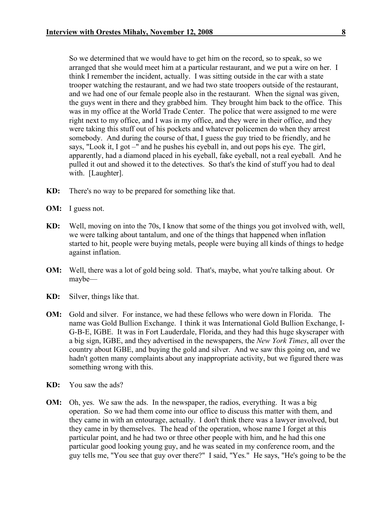So we determined that we would have to get him on the record, so to speak, so we arranged that she would meet him at a particular restaurant, and we put a wire on her. I think I remember the incident, actually. I was sitting outside in the car with a state trooper watching the restaurant, and we had two state troopers outside of the restaurant, and we had one of our female people also in the restaurant. When the signal was given, the guys went in there and they grabbed him. They brought him back to the office. This was in my office at the World Trade Center. The police that were assigned to me were right next to my office, and I was in my office, and they were in their office, and they were taking this stuff out of his pockets and whatever policemen do when they arrest somebody. And during the course of that, I guess the guy tried to be friendly, and he says, "Look it, I got –" and he pushes his eyeball in, and out pops his eye. The girl, apparently, had a diamond placed in his eyeball, fake eyeball, not a real eyeball. And he pulled it out and showed it to the detectives. So that's the kind of stuff you had to deal with. [Laughter].

- **KD:** There's no way to be prepared for something like that.
- **OM:** I guess not.
- **KD:** Well, moving on into the 70s, I know that some of the things you got involved with, well, we were talking about tantalum, and one of the things that happened when inflation started to hit, people were buying metals, people were buying all kinds of things to hedge against inflation.
- **OM:** Well, there was a lot of gold being sold. That's, maybe, what you're talking about. Or maybe—
- **KD:** Silver, things like that.
- **OM:** Gold and silver. For instance, we had these fellows who were down in Florida. The name was Gold Bullion Exchange. I think it was International Gold Bullion Exchange, I-G-B-E, IGBE. It was in Fort Lauderdale, Florida, and they had this huge skyscraper with a big sign, IGBE, and they advertised in the newspapers, the *New York Times*, all over the country about IGBE, and buying the gold and silver. And we saw this going on, and we hadn't gotten many complaints about any inappropriate activity, but we figured there was something wrong with this.
- **KD:** You saw the ads?
- **OM:** Oh, yes. We saw the ads. In the newspaper, the radios, everything. It was a big operation. So we had them come into our office to discuss this matter with them, and they came in with an entourage, actually. I don't think there was a lawyer involved, but they came in by themselves. The head of the operation, whose name I forget at this particular point, and he had two or three other people with him, and he had this one particular good looking young guy, and he was seated in my conference room, and the guy tells me, "You see that guy over there?" I said, "Yes." He says, "He's going to be the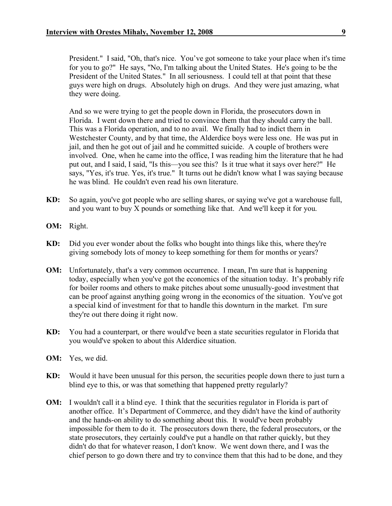President." I said, "Oh, that's nice. You've got someone to take your place when it's time for you to go?" He says, "No, I'm talking about the United States. He's going to be the President of the United States." In all seriousness. I could tell at that point that these guys were high on drugs. Absolutely high on drugs. And they were just amazing, what they were doing.

And so we were trying to get the people down in Florida, the prosecutors down in Florida. I went down there and tried to convince them that they should carry the ball. This was a Florida operation, and to no avail. We finally had to indict them in Westchester County, and by that time, the Alderdice boys were less one. He was put in jail, and then he got out of jail and he committed suicide. A couple of brothers were involved. One, when he came into the office, I was reading him the literature that he had put out, and I said, I said, "Is this—you see this? Is it true what it says over here?" He says, "Yes, it's true. Yes, it's true." It turns out he didn't know what I was saying because he was blind. He couldn't even read his own literature.

- **KD:** So again, you've got people who are selling shares, or saying we've got a warehouse full, and you want to buy X pounds or something like that. And we'll keep it for you.
- **OM:** Right.
- **KD:** Did you ever wonder about the folks who bought into things like this, where they're giving somebody lots of money to keep something for them for months or years?
- **OM:** Unfortunately, that's a very common occurrence. I mean, I'm sure that is happening today, especially when you've got the economics of the situation today. It's probably rife for boiler rooms and others to make pitches about some unusually-good investment that can be proof against anything going wrong in the economics of the situation. You've got a special kind of investment for that to handle this downturn in the market. I'm sure they're out there doing it right now.
- **KD:** You had a counterpart, or there would've been a state securities regulator in Florida that you would've spoken to about this Alderdice situation.
- **OM:** Yes, we did.
- **KD:** Would it have been unusual for this person, the securities people down there to just turn a blind eye to this, or was that something that happened pretty regularly?
- **OM:** I wouldn't call it a blind eye. I think that the securities regulator in Florida is part of another office. It's Department of Commerce, and they didn't have the kind of authority and the hands-on ability to do something about this. It would've been probably impossible for them to do it. The prosecutors down there, the federal prosecutors, or the state prosecutors, they certainly could've put a handle on that rather quickly, but they didn't do that for whatever reason, I don't know. We went down there, and I was the chief person to go down there and try to convince them that this had to be done, and they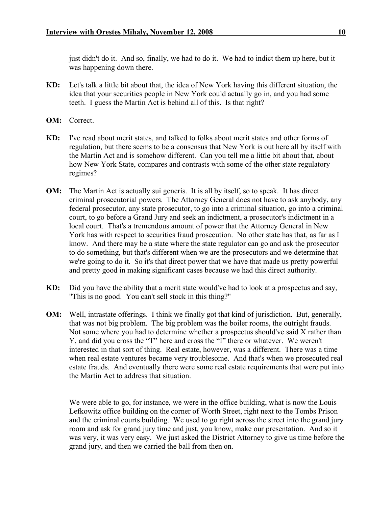just didn't do it. And so, finally, we had to do it. We had to indict them up here, but it was happening down there.

- **KD:** Let's talk a little bit about that, the idea of New York having this different situation, the idea that your securities people in New York could actually go in, and you had some teeth. I guess the Martin Act is behind all of this. Is that right?
- **OM:** Correct.
- **KD:** I've read about merit states, and talked to folks about merit states and other forms of regulation, but there seems to be a consensus that New York is out here all by itself with the Martin Act and is somehow different. Can you tell me a little bit about that, about how New York State, compares and contrasts with some of the other state regulatory regimes?
- **OM:** The Martin Act is actually sui generis. It is all by itself, so to speak. It has direct criminal prosecutorial powers. The Attorney General does not have to ask anybody, any federal prosecutor, any state prosecutor, to go into a criminal situation, go into a criminal court, to go before a Grand Jury and seek an indictment, a prosecutor's indictment in a local court. That's a tremendous amount of power that the Attorney General in New York has with respect to securities fraud prosecution. No other state has that, as far as I know. And there may be a state where the state regulator can go and ask the prosecutor to do something, but that's different when we are the prosecutors and we determine that we're going to do it. So it's that direct power that we have that made us pretty powerful and pretty good in making significant cases because we had this direct authority.
- **KD:** Did you have the ability that a merit state would've had to look at a prospectus and say, "This is no good. You can't sell stock in this thing?"
- **OM:** Well, intrastate offerings. I think we finally got that kind of jurisdiction. But, generally, that was not big problem. The big problem was the boiler rooms, the outright frauds. Not some where you had to determine whether a prospectus should've said X rather than Y, and did you cross the "T" here and cross the "I" there or whatever. We weren't interested in that sort of thing. Real estate, however, was a different. There was a time when real estate ventures became very troublesome. And that's when we prosecuted real estate frauds. And eventually there were some real estate requirements that were put into the Martin Act to address that situation.

We were able to go, for instance, we were in the office building, what is now the Louis Lefkowitz office building on the corner of Worth Street, right next to the Tombs Prison and the criminal courts building. We used to go right across the street into the grand jury room and ask for grand jury time and just, you know, make our presentation. And so it was very, it was very easy. We just asked the District Attorney to give us time before the grand jury, and then we carried the ball from then on.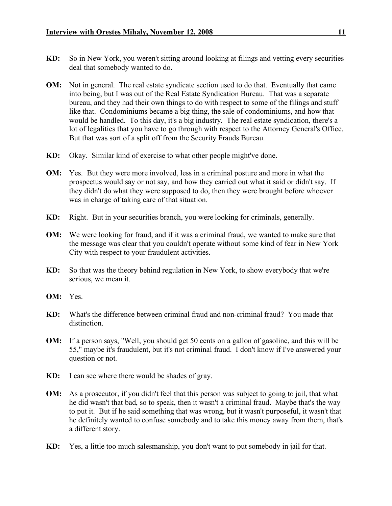- **KD:** So in New York, you weren't sitting around looking at filings and vetting every securities deal that somebody wanted to do.
- **OM:** Not in general. The real estate syndicate section used to do that. Eventually that came into being, but I was out of the Real Estate Syndication Bureau. That was a separate bureau, and they had their own things to do with respect to some of the filings and stuff like that. Condominiums became a big thing, the sale of condominiums, and how that would be handled. To this day, it's a big industry. The real estate syndication, there's a lot of legalities that you have to go through with respect to the Attorney General's Office. But that was sort of a split off from the Security Frauds Bureau.
- **KD:** Okay. Similar kind of exercise to what other people might've done.
- **OM:** Yes. But they were more involved, less in a criminal posture and more in what the prospectus would say or not say, and how they carried out what it said or didn't say. If they didn't do what they were supposed to do, then they were brought before whoever was in charge of taking care of that situation.
- **KD:** Right. But in your securities branch, you were looking for criminals, generally.
- **OM:** We were looking for fraud, and if it was a criminal fraud, we wanted to make sure that the message was clear that you couldn't operate without some kind of fear in New York City with respect to your fraudulent activities.
- **KD:** So that was the theory behind regulation in New York, to show everybody that we're serious, we mean it.
- **OM:** Yes.
- **KD:** What's the difference between criminal fraud and non-criminal fraud? You made that distinction.
- **OM:** If a person says, "Well, you should get 50 cents on a gallon of gasoline, and this will be 55," maybe it's fraudulent, but it's not criminal fraud. I don't know if I've answered your question or not.
- **KD:** I can see where there would be shades of gray.
- **OM:** As a prosecutor, if you didn't feel that this person was subject to going to jail, that what he did wasn't that bad, so to speak, then it wasn't a criminal fraud. Maybe that's the way to put it. But if he said something that was wrong, but it wasn't purposeful, it wasn't that he definitely wanted to confuse somebody and to take this money away from them, that's a different story.
- **KD:** Yes, a little too much salesmanship, you don't want to put somebody in jail for that.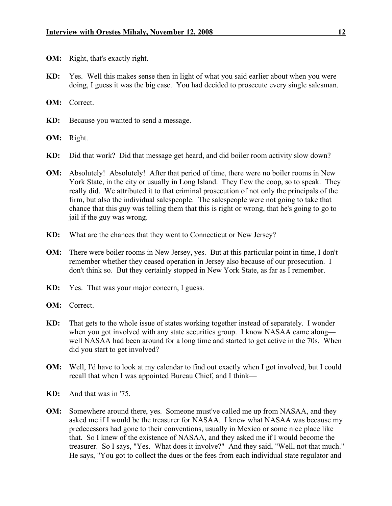- **OM:** Right, that's exactly right.
- **KD:** Yes. Well this makes sense then in light of what you said earlier about when you were doing, I guess it was the big case. You had decided to prosecute every single salesman.
- **OM:** Correct.
- **KD:** Because you wanted to send a message.
- **OM:** Right.
- **KD:** Did that work? Did that message get heard, and did boiler room activity slow down?
- **OM:** Absolutely! Absolutely! After that period of time, there were no boiler rooms in New York State, in the city or usually in Long Island. They flew the coop, so to speak. They really did. We attributed it to that criminal prosecution of not only the principals of the firm, but also the individual salespeople. The salespeople were not going to take that chance that this guy was telling them that this is right or wrong, that he's going to go to jail if the guy was wrong.
- **KD:** What are the chances that they went to Connecticut or New Jersey?
- **OM:** There were boiler rooms in New Jersey, yes. But at this particular point in time, I don't remember whether they ceased operation in Jersey also because of our prosecution. I don't think so. But they certainly stopped in New York State, as far as I remember.
- **KD:** Yes. That was your major concern, I guess.
- **OM:** Correct.
- **KD:** That gets to the whole issue of states working together instead of separately. I wonder when you got involved with any state securities group. I know NASAA came along well NASAA had been around for a long time and started to get active in the 70s. When did you start to get involved?
- **OM:** Well, I'd have to look at my calendar to find out exactly when I got involved, but I could recall that when I was appointed Bureau Chief, and I think—
- **KD:** And that was in '75.
- **OM:** Somewhere around there, yes. Someone must've called me up from NASAA, and they asked me if I would be the treasurer for NASAA. I knew what NASAA was because my predecessors had gone to their conventions, usually in Mexico or some nice place like that. So I knew of the existence of NASAA, and they asked me if I would become the treasurer. So I says, "Yes. What does it involve?" And they said, "Well, not that much." He says, "You got to collect the dues or the fees from each individual state regulator and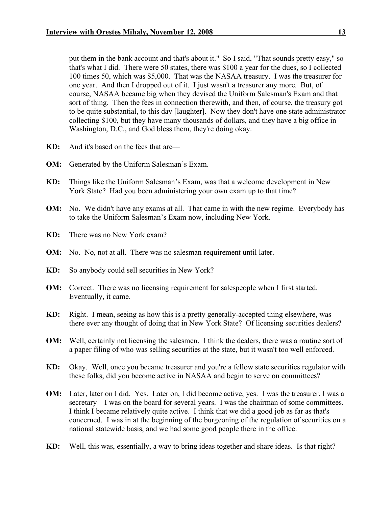put them in the bank account and that's about it." So I said, "That sounds pretty easy," so that's what I did. There were 50 states, there was \$100 a year for the dues, so I collected 100 times 50, which was \$5,000. That was the NASAA treasury. I was the treasurer for one year. And then I dropped out of it. I just wasn't a treasurer any more. But, of course, NASAA became big when they devised the Uniform Salesman's Exam and that sort of thing. Then the fees in connection therewith, and then, of course, the treasury got to be quite substantial, to this day [laughter]. Now they don't have one state administrator collecting \$100, but they have many thousands of dollars, and they have a big office in Washington, D.C., and God bless them, they're doing okay.

- **KD:** And it's based on the fees that are—
- **OM:** Generated by the Uniform Salesman's Exam.
- **KD:** Things like the Uniform Salesman's Exam, was that a welcome development in New York State? Had you been administering your own exam up to that time?
- **OM:** No. We didn't have any exams at all. That came in with the new regime. Everybody has to take the Uniform Salesman's Exam now, including New York.
- **KD:** There was no New York exam?
- **OM:** No. No, not at all. There was no salesman requirement until later.
- **KD:** So anybody could sell securities in New York?
- **OM:** Correct. There was no licensing requirement for salespeople when I first started. Eventually, it came.
- **KD:** Right. I mean, seeing as how this is a pretty generally-accepted thing elsewhere, was there ever any thought of doing that in New York State? Of licensing securities dealers?
- **OM:** Well, certainly not licensing the salesmen. I think the dealers, there was a routine sort of a paper filing of who was selling securities at the state, but it wasn't too well enforced.
- **KD:** Okay. Well, once you became treasurer and you're a fellow state securities regulator with these folks, did you become active in NASAA and begin to serve on committees?
- **OM:** Later, later on I did. Yes. Later on, I did become active, yes. I was the treasurer, I was a secretary—I was on the board for several years. I was the chairman of some committees. I think I became relatively quite active. I think that we did a good job as far as that's concerned. I was in at the beginning of the burgeoning of the regulation of securities on a national statewide basis, and we had some good people there in the office.
- **KD:** Well, this was, essentially, a way to bring ideas together and share ideas. Is that right?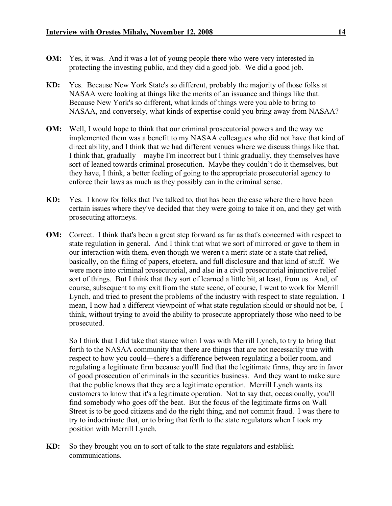- 
- **OM:** Yes, it was. And it was a lot of young people there who were very interested in protecting the investing public, and they did a good job. We did a good job.
- **KD:** Yes. Because New York State's so different, probably the majority of those folks at NASAA were looking at things like the merits of an issuance and things like that. Because New York's so different, what kinds of things were you able to bring to NASAA, and conversely, what kinds of expertise could you bring away from NASAA?
- **OM:** Well, I would hope to think that our criminal prosecutorial powers and the way we implemented them was a benefit to my NASAA colleagues who did not have that kind of direct ability, and I think that we had different venues where we discuss things like that. I think that, gradually—maybe I'm incorrect but I think gradually, they themselves have sort of leaned towards criminal prosecution. Maybe they couldn't do it themselves, but they have, I think, a better feeling of going to the appropriate prosecutorial agency to enforce their laws as much as they possibly can in the criminal sense.
- **KD:** Yes. I know for folks that I've talked to, that has been the case where there have been certain issues where they've decided that they were going to take it on, and they get with prosecuting attorneys.
- **OM:** Correct. I think that's been a great step forward as far as that's concerned with respect to state regulation in general. And I think that what we sort of mirrored or gave to them in our interaction with them, even though we weren't a merit state or a state that relied, basically, on the filing of papers, etcetera, and full disclosure and that kind of stuff. We were more into criminal prosecutorial, and also in a civil prosecutorial injunctive relief sort of things. But I think that they sort of learned a little bit, at least, from us. And, of course, subsequent to my exit from the state scene, of course, I went to work for Merrill Lynch, and tried to present the problems of the industry with respect to state regulation. I mean, I now had a different viewpoint of what state regulation should or should not be, I think, without trying to avoid the ability to prosecute appropriately those who need to be prosecuted.

So I think that I did take that stance when I was with Merrill Lynch, to try to bring that forth to the NASAA community that there are things that are not necessarily true with respect to how you could—there's a difference between regulating a boiler room, and regulating a legitimate firm because you'll find that the legitimate firms, they are in favor of good prosecution of criminals in the securities business. And they want to make sure that the public knows that they are a legitimate operation. Merrill Lynch wants its customers to know that it's a legitimate operation. Not to say that, occasionally, you'll find somebody who goes off the beat. But the focus of the legitimate firms on Wall Street is to be good citizens and do the right thing, and not commit fraud. I was there to try to indoctrinate that, or to bring that forth to the state regulators when I took my position with Merrill Lynch.

**KD:** So they brought you on to sort of talk to the state regulators and establish communications.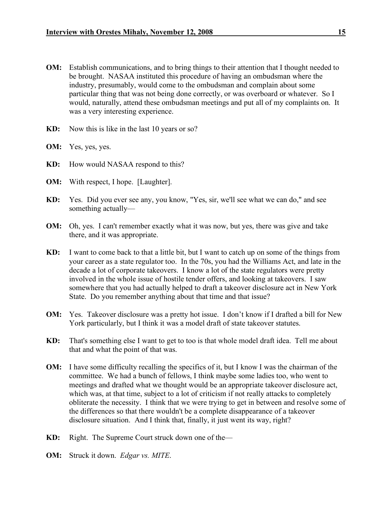- **OM:** Establish communications, and to bring things to their attention that I thought needed to be brought. NASAA instituted this procedure of having an ombudsman where the industry, presumably, would come to the ombudsman and complain about some particular thing that was not being done correctly, or was overboard or whatever. So I would, naturally, attend these ombudsman meetings and put all of my complaints on. It was a very interesting experience.
- **KD:** Now this is like in the last 10 years or so?
- **OM:** Yes, yes, yes.
- **KD:** How would NASAA respond to this?
- **OM:** With respect, I hope. [Laughter].
- **KD:** Yes. Did you ever see any, you know, "Yes, sir, we'll see what we can do," and see something actually—
- **OM:** Oh, yes. I can't remember exactly what it was now, but yes, there was give and take there, and it was appropriate.
- **KD:** I want to come back to that a little bit, but I want to catch up on some of the things from your career as a state regulator too. In the 70s, you had the Williams Act, and late in the decade a lot of corporate takeovers. I know a lot of the state regulators were pretty involved in the whole issue of hostile tender offers, and looking at takeovers. I saw somewhere that you had actually helped to draft a takeover disclosure act in New York State. Do you remember anything about that time and that issue?
- **OM:** Yes. Takeover disclosure was a pretty hot issue. I don't know if I drafted a bill for New York particularly, but I think it was a model draft of state takeover statutes.
- **KD:** That's something else I want to get to too is that whole model draft idea. Tell me about that and what the point of that was.
- **OM:** I have some difficulty recalling the specifics of it, but I know I was the chairman of the committee. We had a bunch of fellows, I think maybe some ladies too, who went to meetings and drafted what we thought would be an appropriate takeover disclosure act, which was, at that time, subject to a lot of criticism if not really attacks to completely obliterate the necessity. I think that we were trying to get in between and resolve some of the differences so that there wouldn't be a complete disappearance of a takeover disclosure situation. And I think that, finally, it just went its way, right?
- **KD:** Right. The Supreme Court struck down one of the—
- **OM:** Struck it down. *Edgar vs. MITE*.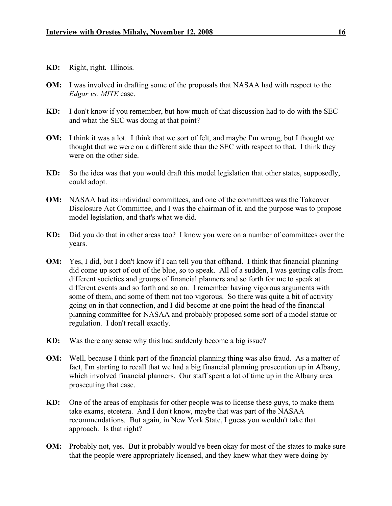- **KD:** Right, right. Illinois.
- **OM:** I was involved in drafting some of the proposals that NASAA had with respect to the *Edgar vs. MITE* case.
- **KD:** I don't know if you remember, but how much of that discussion had to do with the SEC and what the SEC was doing at that point?
- **OM:** I think it was a lot. I think that we sort of felt, and maybe I'm wrong, but I thought we thought that we were on a different side than the SEC with respect to that. I think they were on the other side.
- **KD:** So the idea was that you would draft this model legislation that other states, supposedly, could adopt.
- **OM:** NASAA had its individual committees, and one of the committees was the Takeover Disclosure Act Committee, and I was the chairman of it, and the purpose was to propose model legislation, and that's what we did.
- **KD:** Did you do that in other areas too? I know you were on a number of committees over the years.
- **OM:** Yes, I did, but I don't know if I can tell you that offhand. I think that financial planning did come up sort of out of the blue, so to speak. All of a sudden, I was getting calls from different societies and groups of financial planners and so forth for me to speak at different events and so forth and so on. I remember having vigorous arguments with some of them, and some of them not too vigorous. So there was quite a bit of activity going on in that connection, and I did become at one point the head of the financial planning committee for NASAA and probably proposed some sort of a model statue or regulation. I don't recall exactly.
- **KD:** Was there any sense why this had suddenly become a big issue?
- **OM:** Well, because I think part of the financial planning thing was also fraud. As a matter of fact, I'm starting to recall that we had a big financial planning prosecution up in Albany, which involved financial planners. Our staff spent a lot of time up in the Albany area prosecuting that case.
- **KD:** One of the areas of emphasis for other people was to license these guys, to make them take exams, etcetera. And I don't know, maybe that was part of the NASAA recommendations. But again, in New York State, I guess you wouldn't take that approach. Is that right?
- **OM:** Probably not, yes. But it probably would've been okay for most of the states to make sure that the people were appropriately licensed, and they knew what they were doing by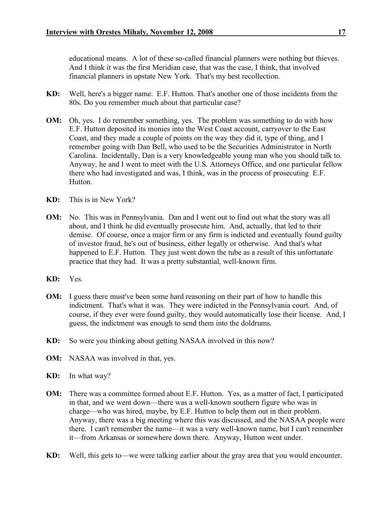educational means. A lot of these so-called financial planners were nothing but thieves. And I think it was the first Meridian case, that was the case, I think, that involved financial planners in upstate New York. That's my best recollection.

- **KD:** Well, here's a bigger name. E.F. Hutton. That's another one of those incidents from the 80s. Do you remember much about that particular case?
- **OM:** Oh, yes. I do remember something, yes. The problem was something to do with how E.F. Hutton deposited its monies into the West Coast account, carryover to the East Coast, and they made a couple of points on the way they did it, type of thing, and I remember going with Dan Bell, who used to be the Securities Administrator in North Carolina. Incidentally, Dan is a very knowledgeable young man who you should talk to. Anyway, he and I went to meet with the U.S. Attorneys Office, and one particular fellow there who had investigated and was, I think, was in the process of prosecuting E.F. **Hutton**
- **KD:** This is in New York?
- **OM:** No. This was in Pennsylvania. Dan and I went out to find out what the story was all about, and I think he did eventually prosecute him. And, actually, that led to their demise. Of course, once a major firm or any firm is indicted and eventually found guilty of investor fraud, he's out of business, either legally or otherwise. And that's what happened to E.F. Hutton. They just went down the tube as a result of this unfortunate practice that they had. It was a pretty substantial, well-known firm.
- **KD:** Yes.
- **OM:** I guess there must've been some hard reasoning on their part of how to handle this indictment. That's what it was. They were indicted in the Pennsylvania court. And, of course, if they ever were found guilty, they would automatically lose their license. And, I guess, the indictment was enough to send them into the doldrums.
- **KD:** So were you thinking about getting NASAA involved in this now?
- **OM:** NASAA was involved in that, yes.
- **KD:** In what way?
- **OM:** There was a committee formed about E.F. Hutton. Yes, as a matter of fact, I participated in that, and we went down—there was a well-known southern figure who was in charge—who was hired, maybe, by E.F. Hutton to help them out in their problem. Anyway, there was a big meeting where this was discussed, and the NASAA people were there. I can't remember the name—it was a very well-known name, but I can't remember it—from Arkansas or somewhere down there. Anyway, Hutton went under.
- **KD:** Well, this gets to—we were talking earlier about the gray area that you would encounter.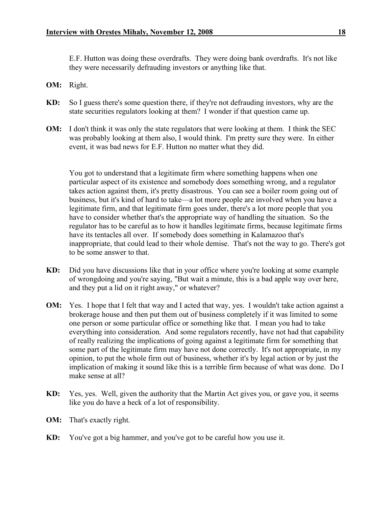E.F. Hutton was doing these overdrafts. They were doing bank overdrafts. It's not like they were necessarily defrauding investors or anything like that.

- **OM:** Right.
- **KD:** So I guess there's some question there, if they're not defrauding investors, why are the state securities regulators looking at them? I wonder if that question came up.
- **OM:** I don't think it was only the state regulators that were looking at them. I think the SEC was probably looking at them also, I would think. I'm pretty sure they were. In either event, it was bad news for E.F. Hutton no matter what they did.

You got to understand that a legitimate firm where something happens when one particular aspect of its existence and somebody does something wrong, and a regulator takes action against them, it's pretty disastrous. You can see a boiler room going out of business, but it's kind of hard to take—a lot more people are involved when you have a legitimate firm, and that legitimate firm goes under, there's a lot more people that you have to consider whether that's the appropriate way of handling the situation. So the regulator has to be careful as to how it handles legitimate firms, because legitimate firms have its tentacles all over. If somebody does something in Kalamazoo that's inappropriate, that could lead to their whole demise. That's not the way to go. There's got to be some answer to that.

- **KD:** Did you have discussions like that in your office where you're looking at some example of wrongdoing and you're saying, "But wait a minute, this is a bad apple way over here, and they put a lid on it right away," or whatever?
- **OM:** Yes. I hope that I felt that way and I acted that way, yes. I wouldn't take action against a brokerage house and then put them out of business completely if it was limited to some one person or some particular office or something like that. I mean you had to take everything into consideration. And some regulators recently, have not had that capability of really realizing the implications of going against a legitimate firm for something that some part of the legitimate firm may have not done correctly. It's not appropriate, in my opinion, to put the whole firm out of business, whether it's by legal action or by just the implication of making it sound like this is a terrible firm because of what was done. Do I make sense at all?
- **KD:** Yes, yes. Well, given the authority that the Martin Act gives you, or gave you, it seems like you do have a heck of a lot of responsibility.
- **OM:** That's exactly right.
- **KD:** You've got a big hammer, and you've got to be careful how you use it.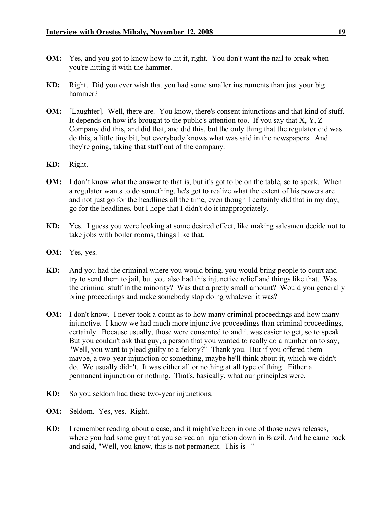- **OM:** Yes, and you got to know how to hit it, right. You don't want the nail to break when you're hitting it with the hammer.
- **KD:** Right. Did you ever wish that you had some smaller instruments than just your big hammer?
- **OM:** [Laughter]. Well, there are. You know, there's consent injunctions and that kind of stuff. It depends on how it's brought to the public's attention too. If you say that  $X, Y, Z$ Company did this, and did that, and did this, but the only thing that the regulator did was do this, a little tiny bit, but everybody knows what was said in the newspapers. And they're going, taking that stuff out of the company.
- **KD:** Right.
- **OM:** I don't know what the answer to that is, but it's got to be on the table, so to speak. When a regulator wants to do something, he's got to realize what the extent of his powers are and not just go for the headlines all the time, even though I certainly did that in my day, go for the headlines, but I hope that I didn't do it inappropriately.
- **KD:** Yes. I guess you were looking at some desired effect, like making salesmen decide not to take jobs with boiler rooms, things like that.
- **OM:** Yes, yes.
- **KD:** And you had the criminal where you would bring, you would bring people to court and try to send them to jail, but you also had this injunctive relief and things like that. Was the criminal stuff in the minority? Was that a pretty small amount? Would you generally bring proceedings and make somebody stop doing whatever it was?
- **OM:** I don't know. I never took a count as to how many criminal proceedings and how many injunctive. I know we had much more injunctive proceedings than criminal proceedings, certainly. Because usually, those were consented to and it was easier to get, so to speak. But you couldn't ask that guy, a person that you wanted to really do a number on to say, "Well, you want to plead guilty to a felony?" Thank you. But if you offered them maybe, a two-year injunction or something, maybe he'll think about it, which we didn't do. We usually didn't. It was either all or nothing at all type of thing. Either a permanent injunction or nothing. That's, basically, what our principles were.
- **KD:** So you seldom had these two-year injunctions.
- **OM:** Seldom. Yes, yes. Right.
- **KD:** I remember reading about a case, and it might've been in one of those news releases, where you had some guy that you served an injunction down in Brazil. And he came back and said, "Well, you know, this is not permanent. This is –"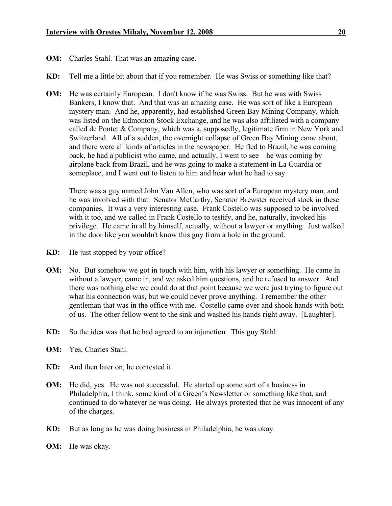- **OM:** Charles Stahl. That was an amazing case.
- **KD:** Tell me a little bit about that if you remember. He was Swiss or something like that?
- **OM:** He was certainly European. I don't know if he was Swiss. But he was with Swiss Bankers, I know that. And that was an amazing case. He was sort of like a European mystery man. And he, apparently, had established Green Bay Mining Company, which was listed on the Edmonton Stock Exchange, and he was also affiliated with a company called de Pontet & Company, which was a, supposedly, legitimate firm in New York and Switzerland. All of a sudden, the overnight collapse of Green Bay Mining came about, and there were all kinds of articles in the newspaper. He fled to Brazil, he was coming back, he had a publicist who came, and actually, I went to see—he was coming by airplane back from Brazil, and he was going to make a statement in La Guardia or someplace, and I went out to listen to him and hear what he had to say.

There was a guy named John Van Allen, who was sort of a European mystery man, and he was involved with that. Senator McCarthy, Senator Brewster received stock in these companies. It was a very interesting case. Frank Costello was supposed to be involved with it too, and we called in Frank Costello to testify, and he, naturally, invoked his privilege. He came in all by himself, actually, without a lawyer or anything. Just walked in the door like you wouldn't know this guy from a hole in the ground.

- **KD:** He just stopped by your office?
- **OM:** No. But somehow we got in touch with him, with his lawyer or something. He came in without a lawyer, came in, and we asked him questions, and he refused to answer. And there was nothing else we could do at that point because we were just trying to figure out what his connection was, but we could never prove anything. I remember the other gentleman that was in the office with me. Costello came over and shook hands with both of us. The other fellow went to the sink and washed his hands right away. [Laughter].
- **KD:** So the idea was that he had agreed to an injunction. This guy Stahl.
- **OM:** Yes, Charles Stahl.
- **KD:** And then later on, he contested it.
- **OM:** He did, yes. He was not successful. He started up some sort of a business in Philadelphia, I think, some kind of a Green's Newsletter or something like that, and continued to do whatever he was doing. He always protested that he was innocent of any of the charges.
- **KD:** But as long as he was doing business in Philadelphia, he was okay.
- **OM:** He was okay.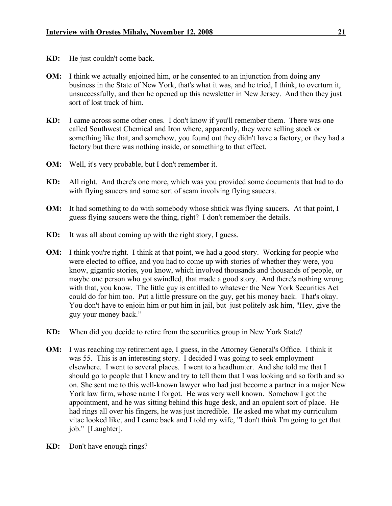- **KD:** He just couldn't come back.
- **OM:** I think we actually enjoined him, or he consented to an injunction from doing any business in the State of New York, that's what it was, and he tried, I think, to overturn it, unsuccessfully, and then he opened up this newsletter in New Jersey. And then they just sort of lost track of him.
- **KD:** I came across some other ones. I don't know if you'll remember them. There was one called Southwest Chemical and Iron where, apparently, they were selling stock or something like that, and somehow, you found out they didn't have a factory, or they had a factory but there was nothing inside, or something to that effect.
- **OM:** Well, it's very probable, but I don't remember it.
- **KD:** All right. And there's one more, which was you provided some documents that had to do with flying saucers and some sort of scam involving flying saucers.
- **OM:** It had something to do with somebody whose shtick was flying saucers. At that point, I guess flying saucers were the thing, right? I don't remember the details.
- **KD:** It was all about coming up with the right story, I guess.
- **OM:** I think you're right. I think at that point, we had a good story. Working for people who were elected to office, and you had to come up with stories of whether they were, you know, gigantic stories, you know, which involved thousands and thousands of people, or maybe one person who got swindled, that made a good story. And there's nothing wrong with that, you know. The little guy is entitled to whatever the New York Securities Act could do for him too. Put a little pressure on the guy, get his money back. That's okay. You don't have to enjoin him or put him in jail, but just politely ask him, "Hey, give the guy your money back."
- **KD:** When did you decide to retire from the securities group in New York State?
- **OM:** I was reaching my retirement age, I guess, in the Attorney General's Office. I think it was 55. This is an interesting story. I decided I was going to seek employment elsewhere. I went to several places. I went to a headhunter. And she told me that I should go to people that I knew and try to tell them that I was looking and so forth and so on. She sent me to this well-known lawyer who had just become a partner in a major New York law firm, whose name I forgot. He was very well known. Somehow I got the appointment, and he was sitting behind this huge desk, and an opulent sort of place. He had rings all over his fingers, he was just incredible. He asked me what my curriculum vitae looked like, and I came back and I told my wife, "I don't think I'm going to get that job." [Laughter].
- **KD:** Don't have enough rings?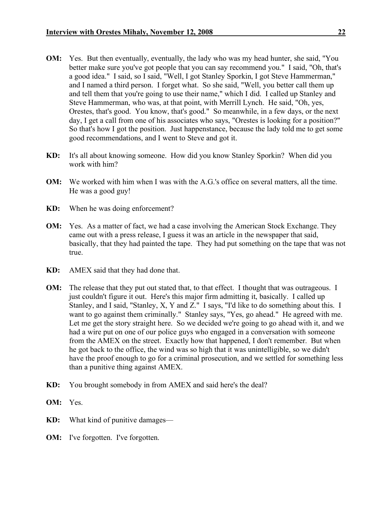- **OM:** Yes. But then eventually, eventually, the lady who was my head hunter, she said, "You better make sure you've got people that you can say recommend you." I said, "Oh, that's a good idea." I said, so I said, "Well, I got Stanley Sporkin, I got Steve Hammerman," and I named a third person. I forget what. So she said, "Well, you better call them up and tell them that you're going to use their name," which I did. I called up Stanley and Steve Hammerman, who was, at that point, with Merrill Lynch. He said, "Oh, yes, Orestes, that's good. You know, that's good." So meanwhile, in a few days, or the next day, I get a call from one of his associates who says, "Orestes is looking for a position?" So that's how I got the position. Just happenstance, because the lady told me to get some good recommendations, and I went to Steve and got it.
- **KD:** It's all about knowing someone. How did you know Stanley Sporkin? When did you work with him?
- **OM:** We worked with him when I was with the A.G.'s office on several matters, all the time. He was a good guy!
- **KD:** When he was doing enforcement?
- **OM:** Yes. As a matter of fact, we had a case involving the American Stock Exchange. They came out with a press release, I guess it was an article in the newspaper that said, basically, that they had painted the tape. They had put something on the tape that was not true.
- **KD:** AMEX said that they had done that.
- **OM:** The release that they put out stated that, to that effect. I thought that was outrageous. I just couldn't figure it out. Here's this major firm admitting it, basically. I called up Stanley, and I said, "Stanley, X, Y and Z." I says, "I'd like to do something about this. I want to go against them criminally." Stanley says, "Yes, go ahead." He agreed with me. Let me get the story straight here. So we decided we're going to go ahead with it, and we had a wire put on one of our police guys who engaged in a conversation with someone from the AMEX on the street. Exactly how that happened, I don't remember. But when he got back to the office, the wind was so high that it was unintelligible, so we didn't have the proof enough to go for a criminal prosecution, and we settled for something less than a punitive thing against AMEX.
- **KD:** You brought somebody in from AMEX and said here's the deal?
- **OM:** Yes.
- **KD:** What kind of punitive damages—
- **OM:** I've forgotten. I've forgotten.